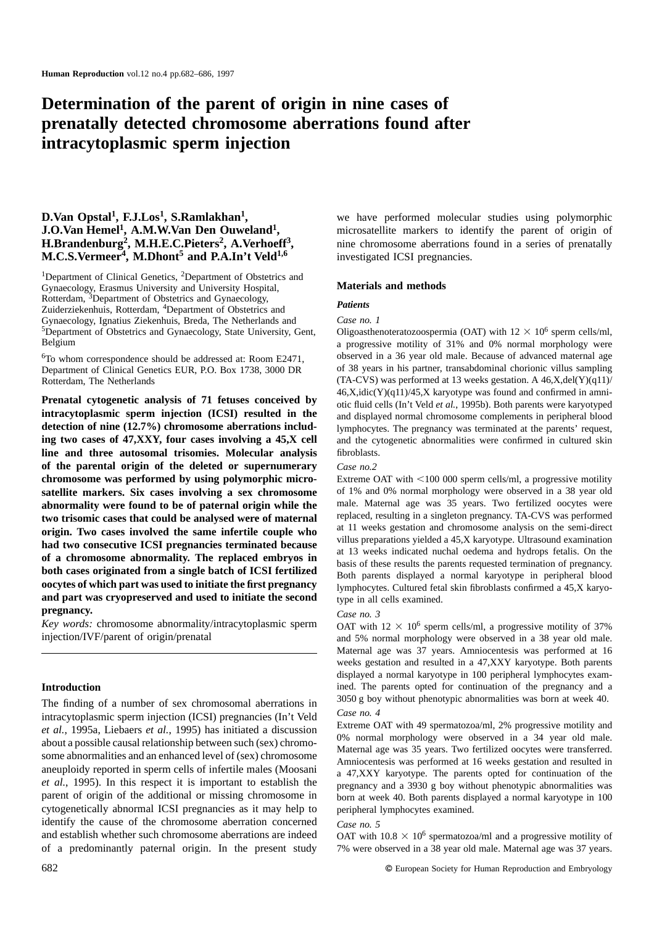## **Determination of the parent of origin in nine cases of prenatally detected chromosome aberrations found after intracytoplasmic sperm injection**

# **D.Van Opstal<sup>1</sup>, F.J.Los<sup>1</sup>, S.Ramlakhan<sup>1</sup>, we have performed molecular studies using polymorphic <b>J.O.Van Hemel<sup>1</sup>, A.M.W.Van Den Ouweland<sup>1</sup>, microsatellite markers to identify the parent of origin of M.C.S.Vermeer<sup>4</sup>, M.Dhont<sup>5</sup> and P.A.In't Veld<sup>1,6</sup> investigated ICSI pregnancies.**

<sup>1</sup>Department of Clinical Genetics, <sup>2</sup>Department of Obstetrics and Gynaecology, Erasmus University and University Hospital, **Materials and methods**<br>Rotterdam, <sup>3</sup>Department of Obstetrics and Gynaecology, **new the contract of Automateum** Property **new the contract of Automateum** Property Rotterdam, 3Department of Obstetrics and Gynaecology, *Patients* Zuiderziekenhuis, Rotterdam, 4Department of Obstetrics and Gynaecology, Ignatius Ziekenhuis, Breda, The Netherlands and *Case no. 1* 5Department of Obstetrics and Gynaecology, State University, Gent, Oligoasthenoteratozoospermia (OAT) with  $12 \times 10^6$  sperm cells/ml,

Department of Clinical Genetics EUR, P.O. Box 1738, 3000 DR Rotterdam, The Netherlands

**detection of nine (12.7%) chromosome aberrations includ-** lymphocytes. The pregnancy was terminated at the parents' request, **ing two cases of 47,XXY, four cases involving a 45,X cell** and the cytogenetic abnormalities were confirmed in cultured skin **line and three autosomal trisomies. Molecular analysis** fibroblasts. **of the parental origin of the deleted or supernumerary** *Case no.2* **chromosome was performed by using polymorphic micro-** Extreme OAT with <100 000 sperm cells/ml, a progressive motility **satellite markers. Six cases involving a sex chromosome** of 1% and 0% normal morphology were observed in a 38 year old abnormality were found to be of naternal origin while the male. Maternal age was 35 years. Two fertili **abnormality were found to be of paternal origin while the** male. Maternal age was 35 years. Two fertilized oocytes were **two trisomic cases that could be analysed were of maternal** replaced, resulting in a singleton pregn **EXECUTE COMPREND EXECUTE:** The vertice of a chromosome analysis on the same infertile couple who<br> **EXECUTE AND AND CONSECUTE SET PEPIACES EXECUTE AND AND THE SET OF SAMPLE THE SET PEPIACED AT A SERVICE OF A chromosome abn and part was cryopreserved and used to initiate the second** type in all cells examined.<br> **pregnancy.** 

*Pregnancy. Case no. 3*<br>*Key words:* chromosome abnormality/intracytoplasmic sperm only only with *Key words:* chromosome abnormality/intracytoplasmic sperm  $\overline{OAT}$  with  $12 \times 10^6$  sperm cells/ml, a progressive motility of 37% injection/IVF/parent of origin/prenatal and 5% normal morphology were observed in a 38 ye

intracytoplasmic sperm injection (ICSI) pregnancies (In't Veld<br> *et al.*, 1995a, Liebaers *et al.*, 1995) has initiated a discussion<br>
about a possible causal relationship between such (sex) chromo-<br>
some about apossible c et al., 1995). In this respect it is important to establish the pregnancy and a 3930 g boy without phenotypic abnormalities was parent of origin of the additional or missing chromosome in born at week 40. Both parents disp cytogenetically abnormal ICSI pregnancies as it may help to peripheral lymphocytes examined. identify the cause of the chromosome aberration concerned *Case no. 5*<br>and establish whether such chromosome aberrations are indeed OAT with of a predominantly paternal origin. In the present study 7% were observed in a 38 year old male. Maternal age was 37 years.

microsatellite markers to identify the parent of origin of **H.Brandenburg<sup>2</sup>, M.H.E.C.Pieters<sup>2</sup>, A.Verhoeff<sup>3</sup>, nine chromosome aberrations found in a series of prenatally** 

Belgium a progressive motility of 31% and 0% normal morphology were <sup>6</sup>To whom correspondence should be addressed at: Room E2471, betweed in a 36 year old male. Because of advanced maternal age<br>Department of Clinical Genetics EUR, P.O. Box 1738, 3000 DR of 38 years in his partner, transabd (TA-CVS) was performed at 13 weeks gestation. A 46,X,del(Y)(q11)/  $46$ ,X,idic(Y)(q11)/45,X karyotype was found and confirmed in amni-**Prenatal cytogenetic analysis of 71 fetuses conceived by** otic fluid cells (In't Veld et al., 1995b). Both parents were karyotyped **intracytoplasmic sperm injection** (ICSI) resulted in the displayed normal chromosome comp

and 5% normal morphology were observed in a 38 year old male. Maternal age was 37 years. Amniocentesis was performed at 16 weeks gestation and resulted in a 47,XXY karyotype. Both parents displayed a normal karyotype in 100 peripheral lymphocytes exam-**Introduction** ined. The parents opted for continuation of the pregnancy and a The finding of a number of sex chromosomal aberrations in  $3050 g$  boy without phenotypic abnormalities was born at week 40. The finding of a number of sex chromosomal aberrations in  $3050 g$  boy without phenotypic abnormal

OAT with  $10.8 \times 10^6$  spermatozoa/ml and a progressive motility of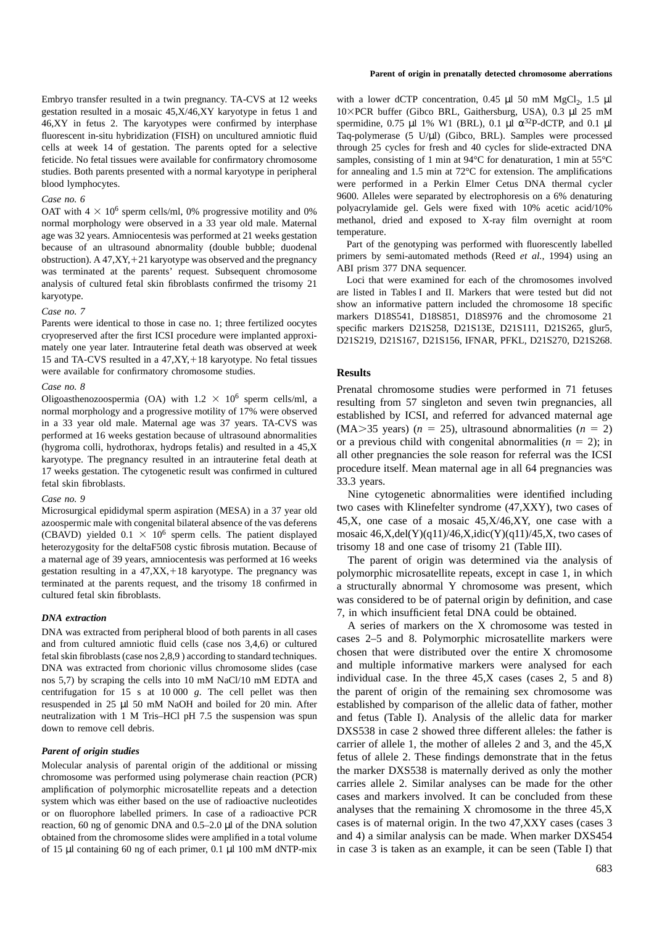gestation resulted in a mosaic  $45, X/46, XY$  karyotype in fetus 1 and 46,XY in fetus 2. The karyotypes were confirmed by interphase spermidine, 0.75 µl 1% W1 (BRL), 0.1 µl  $\alpha^{32}P$ -dCTP, and 0.1 µl fluorescent in-situ hybridization (FISH) on uncultured amniotic fluid Taq-polymerase (5 U/µl) (Gibco, BRL). Samples were processed cells at week 14 of gestation. The parents opted for a selective through 25 cycles for fresh and 40 cycles for slide-extracted DNA feticide. No fetal tissues were available for confirmatory chromosome samples, consisting of 1 min at 94°C for denaturation, 1 min at 55°C studies. Both parents presented with a normal karyotype in peripheral for annealing and 1.5 min at 72°C for extension. The amplifications blood lymphocytes. were performed in a Perkin Elmer Cetus DNA thermal cycler

normal morphology were observed in a 33 year old male. Maternal methanol, dried and exposure  $\frac{22 \text{ years}}{\text{A}}$  Ampiggantaris was performed at 21 weeks gestation age was 32 years. Amniocentesis was performed at 21 weeks gestation<br>because of an ultrasound abnormality (double bubble; duodenal<br>obstruction). A 47,XY, +21 karyotype was observed and the pregnancy<br>was terminated methods was terminated at the parents' request. Subsequent chromosome<br>analysis of cultured fetal skin fibroblasts confirmed the trisomy 21 Loci that were examined for each of the chromosomes involved

15 and TA-CVS resulted in a  $47, XY, +18$  karyotype. No fetal tissues were available for confirmatory chromosome studies. **Results**

fetal skin fibroblasts. 33.3 years.

(CBAVD) yielded  $0.1 \times 10^6$  sperm cells. The patient displayed heterozygosity for the deltaF508 cystic fibrosis mutation. Because of trisomy 18 and one case of trisomy 21 (Table III). a maternal age of 39 years, amniocentesis was performed at 16 weeks The parent of origin was determined via the analysis of gestation resulting in a 47,XX, +18 karyotype. The pregnancy was polymorphic microsatellite repeat gestation resulting in a 47,XX,+18 karyotype. The pregnancy was polymorphic microsatellite repeats, except in case 1, in which terminated at the parents request, and the trisomy 18 confirmed in a structurally abnormal Y ch

DNA was extracted from chorionic villus chromosome slides (case and multiple informative markers were analysed for each nos 5,7) by scraping the cells into 10 mM NaCl/10 mM EDTA and individual case. In the three 45,X cases (cases 2, 5 and 8) centrifugation for 15 s at 10 000 *g*. The cell pellet was then the parent of origin of the remaining sex chromosome was resuspended in 25 µl 50 mM NaOH and boiled for 20 min. After established by comparison of the allelic data of father, mother neutralization with 1 M Tris–HCl pH 7.5 the suspension was spun and fetus (Table I). Analysis of the allelic data for marker<br>DXS538 in case 2 showed three different alleles: the father is

system which was either based on the use of radioactive nucleotides<br>or on fluorophore labelled primers. In case of a radioactive PCR analyses that the remaining X chromosome in the three 45,X<br>reaction 60 ng of genomic DNA reaction, 60 ng of genomic DNA and  $0.5-2.0 \mu$ l of the DNA solution obtained from the chromosome slides were amplified in a total volume and 4) a similar analysis can be made. When marker DXS454

## **Parent of origin in prenatally detected chromosome aberrations**

Embryo transfer resulted in a twin pregnancy. TA-CVS at 12 weeks with a lower dCTP concentration, 0.45 µl 50 mM MgCl<sub>2</sub>, 1.5 µl gestation resulted in a mosaic 45,X/46,XY karyotype in fetus 1 and  $10\times$ PCR buffer (Gibco BR Gase no. 6<br>
9600. Alleles were separated by electrophoresis on a 6% denaturing<br>
OAT with  $4 \times 10^6$  sperm cells/ml 0% progressive motility and 0% polyacrylamide gel. Gels were fixed with 10% acetic acid/10% OAT with  $4 \times 10^6$  sperm cells/ml, 0% progressive motility and 0% polyacrylamide gel. Gels were fixed with 10% acetic acid/10% pormal morphology were observed in a 33 year old male Maternal methanol, dried and exposed to

analysis of cultured fetal skin fibroblasts confirmed the trisomy 21<br>
karyotype.<br>
Case no. 7<br>
Case no. 7<br>
Parents were identical to those in case no. 1; three fertilized oocytes<br>
Parents were identical to those in case no.

*Case no. 8* Prenatal chromosome studies were performed in 71 fetuses<br>Oligoasthenozoospermia (OA) with  $1.2 \times 10^6$  sperm cells/ml, a resulting from 57 singleton and seven twin pregnancies all Oligoasthenozoospermia (OA) with  $1.2 \times 10^6$  sperm cells/ml, a<br>normal morphology and a progressive motility of 17% were observed<br>in a 33 year old male. Maternal age was 37 years. TA-CVS was<br>performed at 16 weeks gestatio

Case no. 9<br>Mine cytogenetic abnormalities were identified including<br>Microsurgical epididymal sperm aspiration (MESA) in a 37 year old **two cases with Klinefelter syndrome (47,XXY)**, two cases of Microsurgical epididymal sperm aspiration (MESA) in a 37 year old two cases with Klinefelter syndrome  $(47,XX)$ , two cases of a mosaic  $45, X/46, XY$ , one case with a azoospermic male with congenital bilateral absence of the vas deferens  $45, X$ , one case of a mosaic  $45, X/46, XY$ , one case with a (CBAVD) yielded  $0.1 \times 10^6$  sperm cells. The patient displayed mosaic  $46, X, \text{del}(Y)(q11)/46, X$ 

terminated at the parents request, and the trisomy 18 confirmed in a structurally abnormal Y chromosome was present, which cultured fetal skin fibroblasts. was considered to be of paternal origin by definition, and case *DNA extraction*<br>
<sup>7</sup>, in which insufficient fetal DNA could be obtained.<br>
<sup>2</sup> A series of markers on the X chromosome was tested in

DNA was extracted from peripheral blood of both parents in all cases<br>and from cultured amniotic fluid cells (case nos 3,4,6) or cultured<br>fetal skin fibroblasts (case nos 2,8,9) according to standard techniques.<br>chosen that DXS538 in case 2 showed three different alleles: the father is **Parent of origin studies**<br>
Molecular analysis of parental origin of the additional or missing<br>
Molecular analysis of parental origin of the additional or missing<br>
chromosome was performed using polymerase chain reaction ( of 15 µl containing 60 ng of each primer, 0.1 µl 100 mM dNTP-mix in case 3 is taken as an example, it can be seen (Table I) that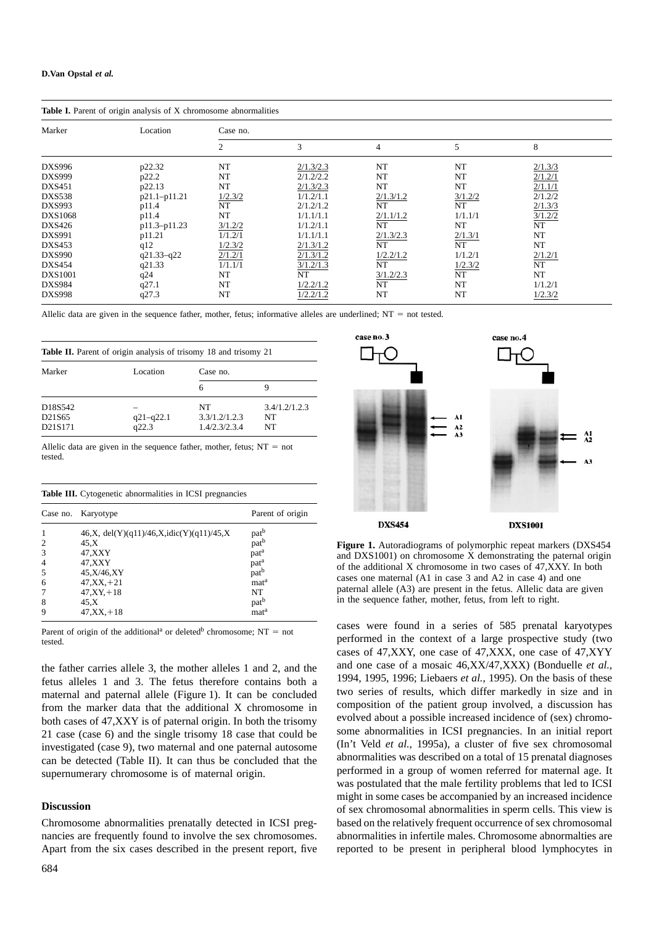| Table I. Parent of origin analysis of X chromosome abnormalities |                |          |           |                |         |                      |  |
|------------------------------------------------------------------|----------------|----------|-----------|----------------|---------|----------------------|--|
| Marker                                                           | Location       | Case no. |           |                |         |                      |  |
|                                                                  |                | 2        | 3         | $\overline{4}$ | 5       | 8                    |  |
| <b>DXS996</b>                                                    | p22.32         | NT       | 2/1.3/2.3 | NT             | NT      | 2/1.3/3              |  |
| <b>DXS999</b>                                                    | p22.2          | NT       | 2/1.2/2.2 | NT             | NT      | 2/1.2/1              |  |
| <b>DXS451</b>                                                    | p22.13         | NT       | 2/1.3/2.3 | NT             | NT      | 2/1.1/1              |  |
| <b>DXS538</b>                                                    | p21.1-p11.21   | 1/2.3/2  | 1/1.2/1.1 | 2/1.3/1.2      | 3/1.2/2 | 2/1.2/2              |  |
| <b>DXS993</b>                                                    | p11.4          | NT       | 2/1.2/1.2 | NT             | NT      | 2/1.3/3              |  |
| DXS1068                                                          | p11.4          | NT       | 1/1.1/1.1 | 2/1.1/1.2      | 1/1.1/1 | $\frac{3/1.2/2}{NT}$ |  |
| DXS426                                                           | p11.3-p11.23   | 3/1.2/2  | 1/1.2/1.1 | NT             | NT      |                      |  |
| DXS991                                                           | p11.21         | 1/1.2/1  | 1/1.1/1.1 | 2/1.3/2.3      | 2/1.3/1 | NT                   |  |
| DXS453                                                           | q12            | 1/2.3/2  | 2/1.3/1.2 | NT             | NT      | NT                   |  |
| <b>DXS990</b>                                                    | $q21.33 - q22$ | 2/1.2/1  | 2/1.3/1.2 | 1/2.2/1.2      | 1/1.2/1 | 2/1.2/1              |  |
| <b>DXS454</b>                                                    | q21.33         | 1/1.1/1  | 3/1.2/1.3 | NT             | 1/2.3/2 | NT                   |  |
| DXS1001                                                          | q24            | NT       | NT        | 3/1.2/2.3      | NT      | NT                   |  |
| <b>DXS984</b>                                                    | q27.1          | NT       | 1/2.2/1.2 | NT             | NT      | 1/1.2/1              |  |
| <b>DXS998</b>                                                    | q27.3          | NT       | 1/2.2/1.2 | NT             | NT      | 1/2.3/2              |  |

Allelic data are given in the sequence father, mother, fetus; informative alleles are underlined;  $NT = not tested$ .

| <b>Table II.</b> Parent of origin analysis of trisomy 18 and trisomy 21 |                        |                                      |                           |  |
|-------------------------------------------------------------------------|------------------------|--------------------------------------|---------------------------|--|
| Marker                                                                  | Location               | Case no.                             |                           |  |
|                                                                         |                        | 6                                    | 9                         |  |
| D18S542<br>D21S65<br>D <sub>21</sub> S <sub>171</sub>                   | $q21 - q22.1$<br>q22.3 | NT<br>3.3/1.2/1.2.3<br>1.4/2.3/2.3.4 | 3.4/1.2/1.2.3<br>NT<br>NT |  |

Allelic data are given in the sequence father, mother, fetus;  $NT = not$ tested.

| Table III. Cytogenetic abnormalities in ICSI pregnancies |  |  |  |  |  |  |  |
|----------------------------------------------------------|--|--|--|--|--|--|--|
|----------------------------------------------------------|--|--|--|--|--|--|--|

|                | Case no. Karyotype                        | Parent of origin |
|----------------|-------------------------------------------|------------------|
|                | 46,X, del(Y)(q11)/46,X, idic(Y)(q11)/45,X | pat <sup>b</sup> |
| 2              | 45.X                                      | pat <sup>b</sup> |
| 3              | 47,XXY                                    | pat <sup>a</sup> |
| $\overline{4}$ | 47,XXY                                    | pat <sup>a</sup> |
| 5              | 45, X/46, XY                              | pat <sup>b</sup> |
| 6              | $47, XX, +21$                             | mat <sup>a</sup> |
|                | $47, XY, +18$                             | NT               |
| 8              | 45.X                                      | pat <sup>b</sup> |
| 9              | $47, XX + 18$                             | mat <sup>a</sup> |

1994, 1995, 1996; Liebaers *et al.*, 1995). On the basis of these maternal and paternal allele (Figure 1) It can be concluded two series of results, which differ markedly in size and in maternal and paternal allele (Figure 1). It can be concluded from the marker data that the additional X chromosome in composition of the patient group involved, a discussion has for the marker data that the additional X chromosome in evolved about a possible increased incidence of ( both cases of 47,XXY is of paternal origin. In both the trisomy evolved about a possible increased incidence of (sex) chromo-<br>21 case (case 6) and the single trisomy 18 case that could be some abnormalities in ICSI pregnan 21 case (case 6) and the single trisomy 18 case that could be some abnormalities in ICSI pregnancies. In an initial report investigated (case 9) two maternal and one paternal autosome (In't Veld *et al.*, 1995a), a cluste investigated (case 9), two maternal and one paternal autosome<br>can be detected (Table II) It can thus be concluded that the abnormalities was described on a total of 15 prenatal diagnoses can be detected (Table II). It can thus be concluded that the supernumerary chromosome is of maternal origin. performed in a group of women referred for maternal age. It

nancies are frequently found to involve the sex chromosomes. abnormalities in infertile males. Chromosome abnormalties are Apart from the six cases described in the present report, five reported to be present in peripheral blood lymphocytes in



Figure 1. Autoradiograms of polymorphic repeat markers (DXS454 and DXS1001) on chromosome X demonstrating the paternal origin of the additional  $X$  chromosome in two cases of 47, XXY. In both cases one maternal  $(A1$  in case 3 and  $A2$  in case 4) and one paternal allele  $(A3)$  are present in the fetus. Allelic data are given in the sequence father, mother, fetus, from left to right.

Parent of origin of the additional<sup>a</sup> or deleted<sup>b</sup> chromosome;  $NT = not$  cases were found in a series of 585 prenatal karyotypes  $t_{\text{actual}}$  of the additional of detects emoints only  $t_{\text{total}}$ ,  $t_{\text{total}}$  of the context of a large prospective study (two cases of 47,XXY, one case of 47,XXX, one case of 47,XYY the father carries allele 3, the mother alleles 1 and 2, and the and one case of a mosaic 46,XX/47,XXX) (Bonduelle *et al.*, was postulated that the male fertility problems that led to ICSI might in some cases be accompanied by an increased incidence<br> **Discussion** of sex chromosomal abnormalities in sperm cells. This view is Chromosome abnormalities prenatally detected in ICSI preg- based on the relatively frequent occurrence of sex chromosomal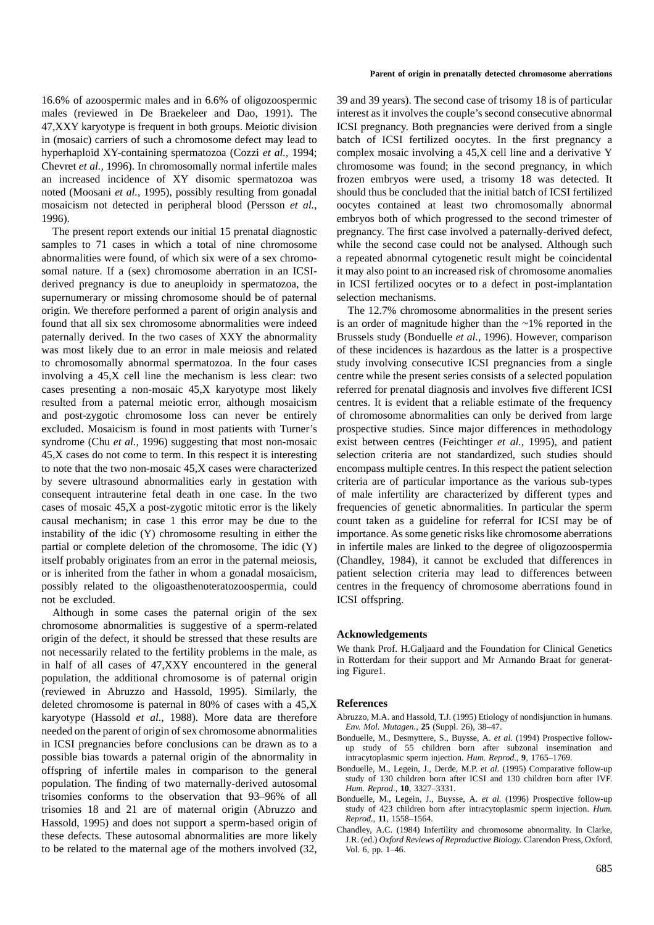16.6% of azoospermic males and in 6.6% of oligozoospermic 39 and 39 years). The second case of trisomy 18 is of particular males (reviewed in De Braekeleer and Dao, 1991). The interest as it involves the couple's second consecutive abnormal 47,XXY karyotype is frequent in both groups. Meiotic division ICSI pregnancy. Both pregnancies were derived from a single in (mosaic) carriers of such a chromosome defect may lead to batch of ICSI fertilized oocytes. In the first pregnancy a hyperhaploid XY-containing spermatozoa (Cozzi *et al.*, 1994; complex mosaic involving a 45,X cell line and a derivative Y Chevret *et al.*, 1996). In chromosomally normal infertile males chromosome was found; in the second pregnancy, in which an increased incidence of XY disomic spermatozoa was frozen embryos were used, a trisomy 18 was detected. It noted (Moosani *et al.*, 1995), possibly resulting from gonadal should thus be concluded that the initial batch of ICSI fertilized mosaicism not detected in peripheral blood (Persson *et al.*, oocytes contained at least two chromosomally abnormal

samples to 71 cases in which a total of nine chromosome while the second case could not be analysed. Although such abnormalities were found, of which six were of a sex chromo- a repeated abnormal cytogenetic result might be coincidental somal nature. If a (sex) chromosome aberration in an ICSI- it may also point to an increased risk of chromosome anomalies derived pregnancy is due to aneuploidy in spermatozoa, the in ICSI fertilized oocytes or to a defect in post-implantation supernumerary or missing chromosome should be of paternal selection mechanisms. origin. We therefore performed a parent of origin analysis and The 12.7% chromosome abnormalities in the present series found that all six sex chromosome abnormalities were indeed is an order of magnitude higher than the  $\sim$ 1% reported in the paternally derived. In the two cases of XXY the abnormality Brussels study (Bonduelle *et al.*, 1996). However, comparison was most likely due to an error in male meiosis and related of these incidences is hazardous as the latter is a prospective to chromosomally abnormal spermatozoa. In the four cases study involving consecutive ICSI pregnancies from a single involving a 45,X cell line the mechanism is less clear: two centre while the present series consists of a selected population cases presenting a non-mosaic 45,X karyotype most likely referred for prenatal diagnosis and involves five different ICSI resulted from a paternal meiotic error, although mosaicism centres. It is evident that a reliable estimate of the frequency and post-zygotic chromosome loss can never be entirely of chromosome abnormalities can only be derived from large excluded. Mosaicism is found in most patients with Turner's prospective studies. Since major differences in methodology syndrome (Chu *et al.*, 1996) suggesting that most non-mosaic exist between centres (Feichtinger *et al.*, 1995), and patient 45,X cases do not come to term. In this respect it is interesting selection criteria are not standardized, such studies should to note that the two non-mosaic 45,X cases were characterized encompass multiple centres. In this respect the patient selection by severe ultrasound abnormalities early in gestation with criteria are of particular importance as the various sub-types consequent intrauterine fetal death in one case. In the two of male infertility are characterized by different types and cases of mosaic 45,X a post-zygotic mitotic error is the likely frequencies of genetic abnormalities. In particular the sperm causal mechanism; in case 1 this error may be due to the count taken as a guideline for referral for ICSI may be of instability of the idic (Y) chromosome resulting in either the importance. As some genetic risks like chromosome aberrations partial or complete deletion of the chromosome. The idic  $(Y)$  in infertile males are linked to the degree of oligozoospermia itself probably originates from an error in the paternal meiosis, (Chandley, 1984), it cannot be excluded that differences in or is inherited from the father in whom a gonadal mosaicism, patient selection criteria may lead to differences between possibly related to the oligoasthenoteratozoospermia, could centres in the frequency of chromosome aberrations found in not be excluded. ICSI offspring.

Although in some cases the paternal origin of the sex chromosome abnormalities is suggestive of a sperm-related<br>
origin of the defect, it should be stressed that these results are<br> **Acknowledgements**<br>
We thank Prof. H.Galjaard and the Foundation for Clinical Genetics<br>
We than not necessarily related to the fertility problems in the male, as<br>in Rotterdam for their support and Mr Armando Braat for generat-<br>population, the additional chromosome is of paternal origin (reviewed in Abruzzo and Hassold, 1995). Similarly, the deleted chromosome is paternal in 80% of cases with a 45,X **References** karyotype (Hassold *et al.*, 1988). More data are therefore Abruzzo, M.A. and Hassold, T.J. (1995) Etiology of nondisjunction in humans.<br> *Env. Mol. Mutagen.*, 25 (Suppl. 26), 38–47. meeded on the parent of origin of sex chromosome abnormalities<br>in ICSI pregnancies before conclusions can be drawn as to a<br>in ICSI pregnancies before conclusions can be drawn as to a<br>p study of 55 children born after subzo possible bias towards a paternal origin of the abnormality in intracytoplasmic sperm injection. *Hum. Reprod*., **9**, 1765–1769. offspring of infertile males in comparison to the general Bonduelle, M., Legein, J., Derde, M.P. *et al.* (1995) Comparative follow-up<br>nonveloped study of 130 children born after ICSI and 130 children born after IVF. population. The finding of two maternally-derived autosomal *Hum. Reprod.*, **10**, 3327–3331. trisomies conforms to the observation that 93–96% of all Bonduelle, M., Legein, J., Buysse, A. *et al.* (1996) Prospective follow-up trisomies 18 and 21 are of maternal origin (Abruzzo and study of 423 children born after intracytoplasmic sperm injection. *Hum.*<br>
Heared 1005) and does not support a sperm based origin of *Reprod.*, 11, 1558–1564. Hassold, 1995) and does not support a sperm-based origin of *Reprod.*, 11, 1558–1564.<br>
these defects. These autosomal abnormalities are more likely *I.R.* (ed.) *Oxford Reviews of Reproductive Biology*. Clarendon Press, Ox to be related to the maternal age of the mothers involved  $(32,$  Vol. 6, pp. 1–46.

### **Parent of origin in prenatally detected chromosome aberrations**

1996). embryos both of which progressed to the second trimester of The present report extends our initial 15 prenatal diagnostic pregnancy. The first case involved a paternally-derived defect,

- 
- 
- 
- 
-